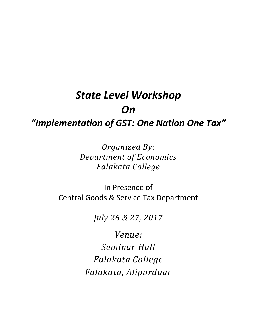# *State Level Workshop On "Implementation of GST: One Nation One Tax"*

*Organized By: Department of Economics Falakata College*

In Presence of Central Goods & Service Tax Department

*July 26 & 27, 2017*

*Venue: Seminar Hall Falakata College Falakata, Alipurduar*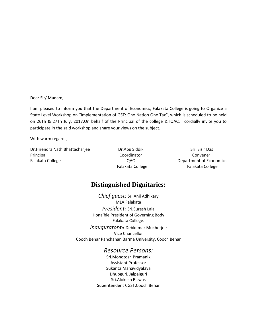Dear Sir/ Madam,

I am pleased to inform you that the Department of Economics, Falakata College is going to Organize a State Level Workshop on "Implementation of GST: One Nation One Tax", which is scheduled to be held on 26Th & 27Th July, 2017.On behalf of the Principal of the college & IQAC, I cordially invite you to participate in the said workshop and share your views on the subject.

With warm regards,

Dr.Hirendra Nath Bhattacharjee Dr.Abu Siddik Sri. Sisir Das Principal **Coordinator** Coordinator Convener Falakata College **IQAC** Department of Economics

Falakata College Falakata College

# **Distinguished Dignitaries:**

*Chief guest:* Sri.Anil Adhikary MLA,Falakata *President:* Sri.Suresh Lala Hona'ble President of Governing Body Falakata College. *Inaugurator*:Dr.Debkumar Mukherjee Vice Chancellor Cooch Behar Panchanan Barma University, Cooch Behar

# *Resource Persons:*

Sri.Monotosh Pramanik Assistant Professor Sukanta Mahavidyalaya Dhupguri, Jalpaiguri Sri.Alokesh Biswas Superitendent CGST,Cooch Behar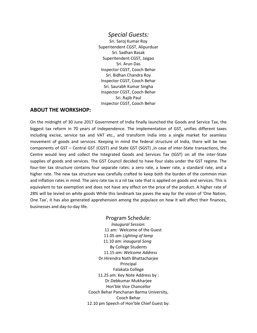### *Special Guests:*

Sri. Saroj Kumar Roy Superitendent CGST, Alipurduar Sri. Sadhan Basak Superitendent CGST, Jaigao Sri. Arun Das Inspector CGST, Cooch Behar Sri. Bidhan Chandra Roy Inspector CGST, Cooch Behar Sri. Saurabh Kumar Singha Inspector CGST, Cooch Behar Sri. Rajib Paul Inspector CGST, Cooch Behar

#### **ABOUT THE WORKSHOP:**

On the midnight of 30 June 2017 Government of India finally launched the Goods and Service Tax, the biggest tax reform in 70 years of Independence. The implementation of GST, unifies different taxes including excise, service tax and VAT etc., and transform India into a single market for seamless movement of goods and services. Keeping in mind the federal structure of India, there will be two components of GST – Central GST (CGST) and State GST (SGST) ,in case of inter-State transactions, the Centre would levy and collect the Integrated Goods and Services Tax (IGST) on all the inter-State supplies of goods and services. The GST Council decided to have four slabs under the GST regime. The four-tier tax structure contains four separate rates: a zero rate, a lower rate, a standard rate, and a higher rate. The new tax structure was carefully crafted to keep both the burden of the common man and inflation rates in mind. The zero rate tax is a nil tax rate that is applied on goods and services. This is equivalent to tax exemption and does not have any effect on the price of the product. A higher rate of 28% will be levied on white goods While this landmark tax paves the way for the vision of 'One Nation, One Tax', it has also generated apprehension among the populace on how it will affect their finances, businesses and day-to-day life.

> Program Schedule: *Inaugural Session:* 11 am: Welcome of the Guest 11.05 *am Lighting of lamp* 11.10 *am: inaugural Song* By College Students 11.15 *am: Welcome Address* Dr.Hirendra Nath Bhattacharjee Principal Falakata College 11.25 am: Key Note Address by : Dr.Debkumar Mukharjee Hon'ble Vice Chancellor Cooch Behar Panchanan Barma University, Cooch Behar 12.10 pm Speech of Hon'ble Chief Guest by: